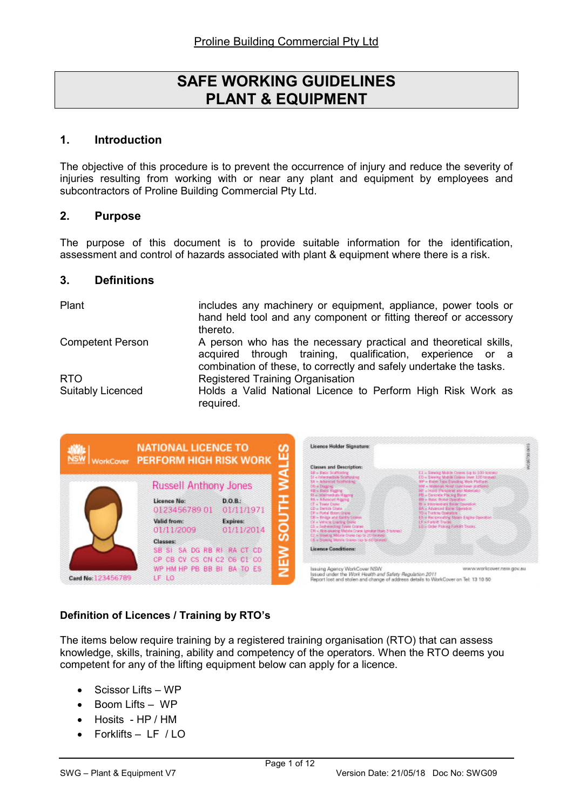# SAFE WORKING GUIDELINES PLANT & EQUIPMENT

#### 1. Introduction

The objective of this procedure is to prevent the occurrence of injury and reduce the severity of injuries resulting from working with or near any plant and equipment by employees and subcontractors of Proline Building Commercial Pty Ltd.

#### 2. Purpose

The purpose of this document is to provide suitable information for the identification, assessment and control of hazards associated with plant & equipment where there is a risk.

#### 3. Definitions

| Plant                    | includes any machinery or equipment, appliance, power tools or<br>hand held tool and any component or fitting thereof or accessory<br>thereto.                                                      |  |  |
|--------------------------|-----------------------------------------------------------------------------------------------------------------------------------------------------------------------------------------------------|--|--|
| <b>Competent Person</b>  | A person who has the necessary practical and theoretical skills,<br>acquired through training, qualification, experience or a<br>combination of these, to correctly and safely undertake the tasks. |  |  |
| <b>RTO</b>               | <b>Registered Training Organisation</b>                                                                                                                                                             |  |  |
| <b>Suitably Licenced</b> | Holds a Valid National Licence to Perform High Risk Work as<br>required.                                                                                                                            |  |  |



## Definition of Licences / Training by RTO's

The items below require training by a registered training organisation (RTO) that can assess knowledge, skills, training, ability and competency of the operators. When the RTO deems you competent for any of the lifting equipment below can apply for a licence.

- Scissor Lifts WP
- Boom Lifts WP
- Hosits HP / HM
- Forklifts LF / LO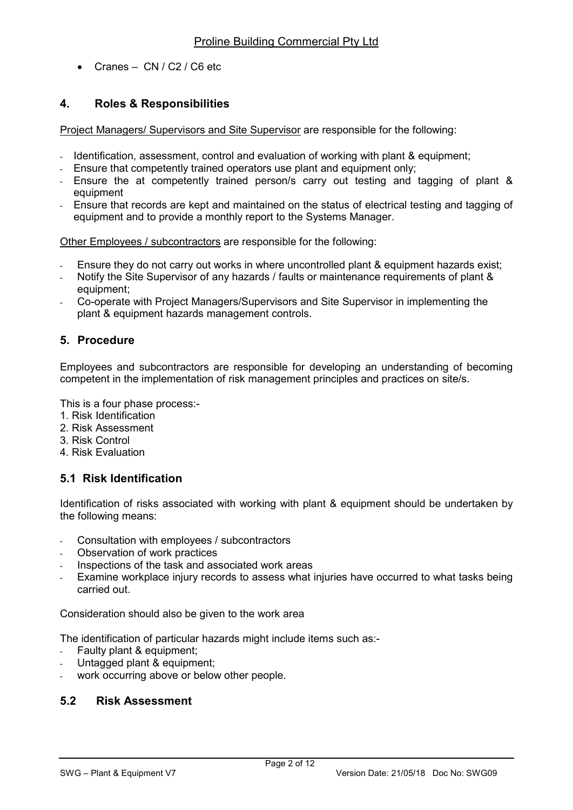Cranes – CN / C2 / C6 etc

# 4. Roles & Responsibilities

Project Managers/ Supervisors and Site Supervisor are responsible for the following:

- Identification, assessment, control and evaluation of working with plant & equipment;
- Ensure that competently trained operators use plant and equipment only:
- Ensure the at competently trained person/s carry out testing and tagging of plant & equipment
- Ensure that records are kept and maintained on the status of electrical testing and tagging of equipment and to provide a monthly report to the Systems Manager.

Other Employees / subcontractors are responsible for the following:

- Ensure they do not carry out works in where uncontrolled plant & equipment hazards exist;
- Notify the Site Supervisor of any hazards / faults or maintenance requirements of plant & equipment;
- Co-operate with Project Managers/Supervisors and Site Supervisor in implementing the plant & equipment hazards management controls.

# 5. Procedure

Employees and subcontractors are responsible for developing an understanding of becoming competent in the implementation of risk management principles and practices on site/s.

This is a four phase process:-

- 1. Risk Identification
- 2. Risk Assessment
- 3. Risk Control
- 4. Risk Evaluation

## 5.1 Risk Identification

Identification of risks associated with working with plant & equipment should be undertaken by the following means:

- Consultation with employees / subcontractors
- Observation of work practices
- Inspections of the task and associated work areas
- Examine workplace injury records to assess what injuries have occurred to what tasks being carried out.

Consideration should also be given to the work area

The identification of particular hazards might include items such as:-

- Faulty plant & equipment:
- Untagged plant & equipment;
- work occurring above or below other people.

## 5.2 Risk Assessment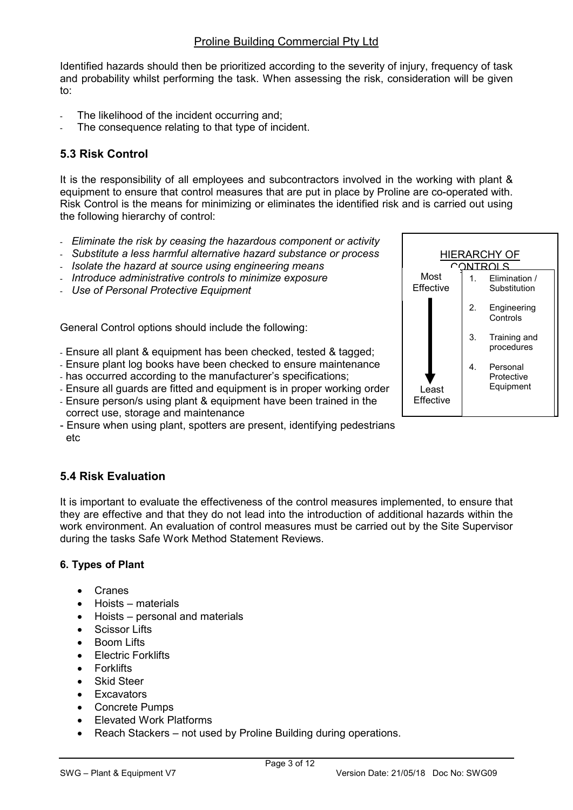Identified hazards should then be prioritized according to the severity of injury, frequency of task and probability whilst performing the task. When assessing the risk, consideration will be given to:

- The likelihood of the incident occurring and;
- The consequence relating to that type of incident.

# 5.3 Risk Control

It is the responsibility of all employees and subcontractors involved in the working with plant & equipment to ensure that control measures that are put in place by Proline are co-operated with. Risk Control is the means for minimizing or eliminates the identified risk and is carried out using the following hierarchy of control:

- Eliminate the risk by ceasing the hazardous component or activity
- Substitute a less harmful alternative hazard substance or process
- Isolate the hazard at source using engineering means
- Introduce administrative controls to minimize exposure
- Use of Personal Protective Equipment

General Control options should include the following:

- Ensure all plant & equipment has been checked, tested & tagged;
- Ensure plant log books have been checked to ensure maintenance
- has occurred according to the manufacturer's specifications;
- Ensure all guards are fitted and equipment is in proper working order
- Ensure person/s using plant & equipment have been trained in the correct use, storage and maintenance
- Ensure when using plant, spotters are present, identifying pedestrians etc

# 5.4 Risk Evaluation

It is important to evaluate the effectiveness of the control measures implemented, to ensure that they are effective and that they do not lead into the introduction of additional hazards within the work environment. An evaluation of control measures must be carried out by the Site Supervisor during the tasks Safe Work Method Statement Reviews.

#### 6. Types of Plant

- Cranes
- Hoists materials
- Hoists personal and materials
- Scissor Lifts
- Boom Lifts
- Electric Forklifts
- **Forklifts**
- Skid Steer
- **Excavators**
- Concrete Pumps
- Elevated Work Platforms
- Reach Stackers not used by Proline Building during operations.

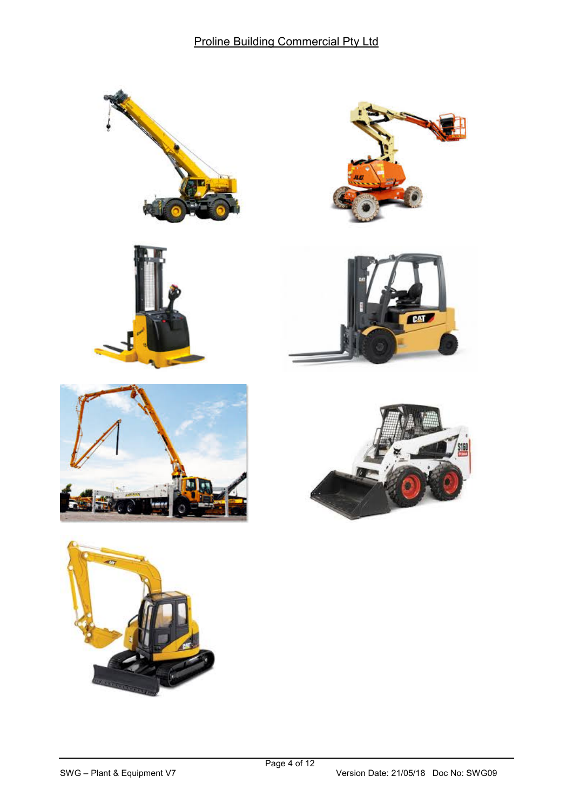











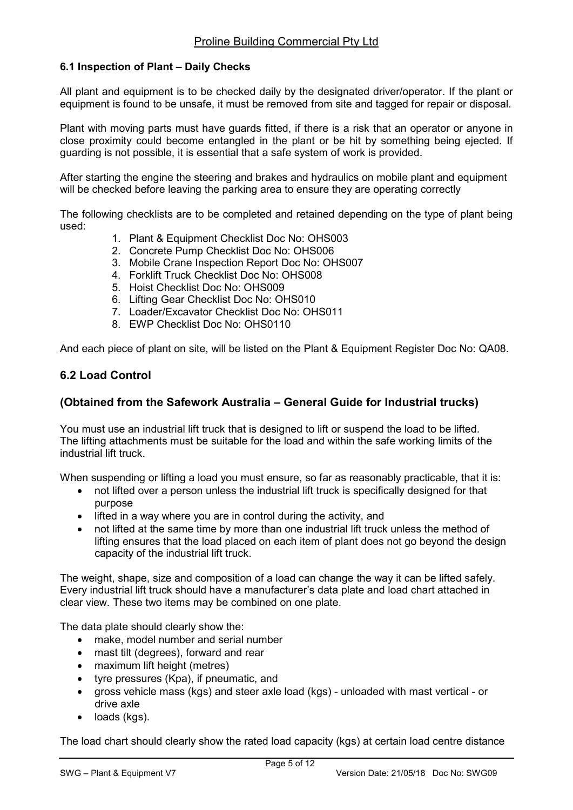#### 6.1 Inspection of Plant – Daily Checks

All plant and equipment is to be checked daily by the designated driver/operator. If the plant or equipment is found to be unsafe, it must be removed from site and tagged for repair or disposal.

Plant with moving parts must have guards fitted, if there is a risk that an operator or anyone in close proximity could become entangled in the plant or be hit by something being ejected. If guarding is not possible, it is essential that a safe system of work is provided.

After starting the engine the steering and brakes and hydraulics on mobile plant and equipment will be checked before leaving the parking area to ensure they are operating correctly

The following checklists are to be completed and retained depending on the type of plant being used:

- 1. Plant & Equipment Checklist Doc No: OHS003
- 2. Concrete Pump Checklist Doc No: OHS006
- 3. Mobile Crane Inspection Report Doc No: OHS007
- 4. Forklift Truck Checklist Doc No: OHS008
- 5. Hoist Checklist Doc No: OHS009
- 6. Lifting Gear Checklist Doc No: OHS010
- 7. Loader/Excavator Checklist Doc No: OHS011
- 8. EWP Checklist Doc No: OHS0110

And each piece of plant on site, will be listed on the Plant & Equipment Register Doc No: QA08.

#### 6.2 Load Control

#### (Obtained from the Safework Australia – General Guide for Industrial trucks)

You must use an industrial lift truck that is designed to lift or suspend the load to be lifted. The lifting attachments must be suitable for the load and within the safe working limits of the industrial lift truck.

When suspending or lifting a load you must ensure, so far as reasonably practicable, that it is:

- not lifted over a person unless the industrial lift truck is specifically designed for that purpose
- lifted in a way where you are in control during the activity, and
- not lifted at the same time by more than one industrial lift truck unless the method of lifting ensures that the load placed on each item of plant does not go beyond the design capacity of the industrial lift truck.

The weight, shape, size and composition of a load can change the way it can be lifted safely. Every industrial lift truck should have a manufacturer's data plate and load chart attached in clear view. These two items may be combined on one plate.

The data plate should clearly show the:

- make, model number and serial number
- mast tilt (degrees), forward and rear
- maximum lift height (metres)
- tyre pressures (Kpa), if pneumatic, and
- gross vehicle mass (kgs) and steer axle load (kgs) unloaded with mast vertical or drive axle
- loads (kgs).

The load chart should clearly show the rated load capacity (kgs) at certain load centre distance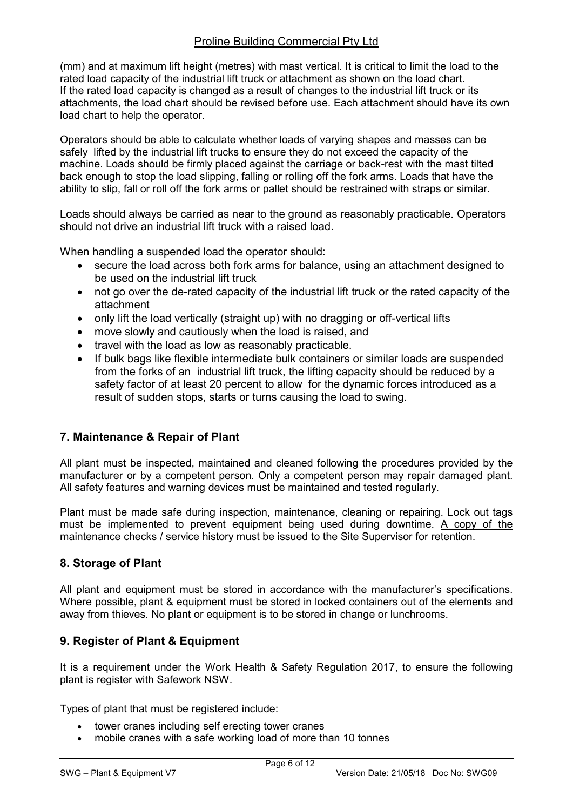## Proline Building Commercial Pty Ltd

(mm) and at maximum lift height (metres) with mast vertical. It is critical to limit the load to the rated load capacity of the industrial lift truck or attachment as shown on the load chart. If the rated load capacity is changed as a result of changes to the industrial lift truck or its attachments, the load chart should be revised before use. Each attachment should have its own load chart to help the operator.

Operators should be able to calculate whether loads of varying shapes and masses can be safely lifted by the industrial lift trucks to ensure they do not exceed the capacity of the machine. Loads should be firmly placed against the carriage or back-rest with the mast tilted back enough to stop the load slipping, falling or rolling off the fork arms. Loads that have the ability to slip, fall or roll off the fork arms or pallet should be restrained with straps or similar.

Loads should always be carried as near to the ground as reasonably practicable. Operators should not drive an industrial lift truck with a raised load.

When handling a suspended load the operator should:

- secure the load across both fork arms for balance, using an attachment designed to be used on the industrial lift truck
- not go over the de-rated capacity of the industrial lift truck or the rated capacity of the attachment
- only lift the load vertically (straight up) with no dragging or off-vertical lifts
- move slowly and cautiously when the load is raised, and
- travel with the load as low as reasonably practicable.
- If bulk bags like flexible intermediate bulk containers or similar loads are suspended from the forks of an industrial lift truck, the lifting capacity should be reduced by a safety factor of at least 20 percent to allow for the dynamic forces introduced as a result of sudden stops, starts or turns causing the load to swing.

# 7. Maintenance & Repair of Plant

All plant must be inspected, maintained and cleaned following the procedures provided by the manufacturer or by a competent person. Only a competent person may repair damaged plant. All safety features and warning devices must be maintained and tested regularly.

Plant must be made safe during inspection, maintenance, cleaning or repairing. Lock out tags must be implemented to prevent equipment being used during downtime. A copy of the maintenance checks / service history must be issued to the Site Supervisor for retention.

# 8. Storage of Plant

All plant and equipment must be stored in accordance with the manufacturer's specifications. Where possible, plant & equipment must be stored in locked containers out of the elements and away from thieves. No plant or equipment is to be stored in change or lunchrooms.

## 9. Register of Plant & Equipment

It is a requirement under the Work Health & Safety Regulation 2017, to ensure the following plant is register with Safework NSW.

Types of plant that must be registered include:

- tower cranes including self erecting tower cranes
- mobile cranes with a safe working load of more than 10 tonnes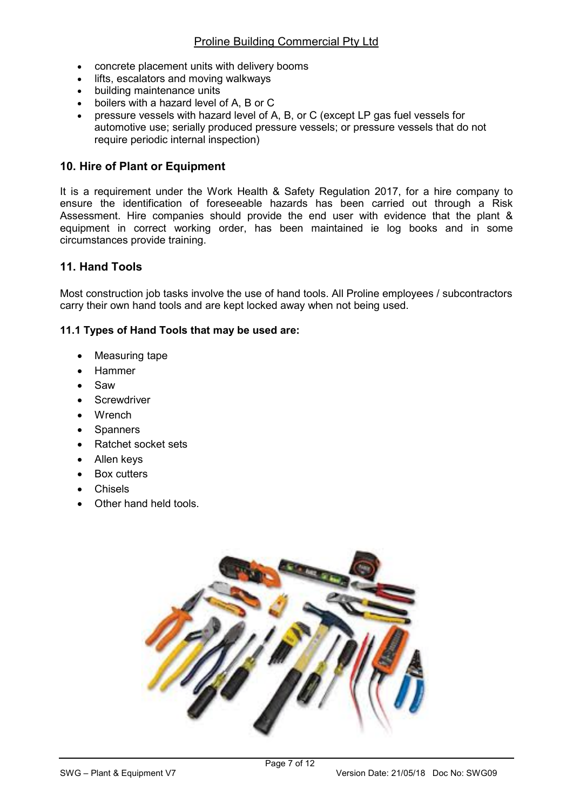- concrete placement units with delivery booms
- lifts, escalators and moving walkways
- building maintenance units
- boilers with a hazard level of A, B or C
- pressure vessels with hazard level of A, B, or C (except LP gas fuel vessels for automotive use; serially produced pressure vessels; or pressure vessels that do not require periodic internal inspection)

# 10. Hire of Plant or Equipment

It is a requirement under the Work Health & Safety Regulation 2017, for a hire company to ensure the identification of foreseeable hazards has been carried out through a Risk Assessment. Hire companies should provide the end user with evidence that the plant & equipment in correct working order, has been maintained ie log books and in some circumstances provide training.

## 11. Hand Tools

Most construction job tasks involve the use of hand tools. All Proline employees / subcontractors carry their own hand tools and are kept locked away when not being used.

#### 11.1 Types of Hand Tools that may be used are:

- Measuring tape
- Hammer
- Saw
- **Screwdriver**
- Wrench
- **Spanners**
- Ratchet socket sets
- Allen keys
- Box cutters
- Chisels
- Other hand held tools.

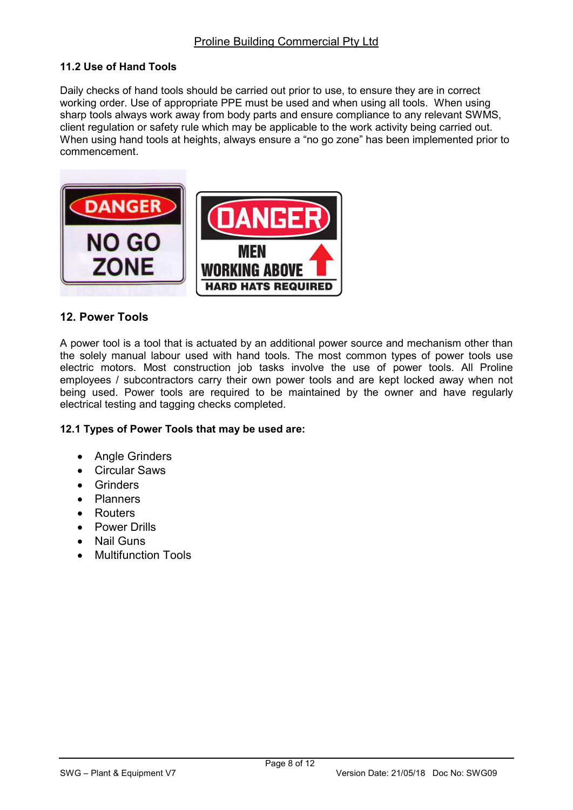#### 11.2 Use of Hand Tools

Daily checks of hand tools should be carried out prior to use, to ensure they are in correct working order. Use of appropriate PPE must be used and when using all tools. When using sharp tools always work away from body parts and ensure compliance to any relevant SWMS, client regulation or safety rule which may be applicable to the work activity being carried out. When using hand tools at heights, always ensure a "no go zone" has been implemented prior to commencement.



## 12. Power Tools

A power tool is a tool that is actuated by an additional power source and mechanism other than the solely manual labour used with hand tools. The most common types of power tools use electric motors. Most construction job tasks involve the use of power tools. All Proline employees / subcontractors carry their own power tools and are kept locked away when not being used. Power tools are required to be maintained by the owner and have regularly electrical testing and tagging checks completed.

#### 12.1 Types of Power Tools that may be used are:

- **Angle Grinders**
- Circular Saws
- **Grinders**
- Planners
- **Routers**
- Power Drills
- Nail Guns
- Multifunction Tools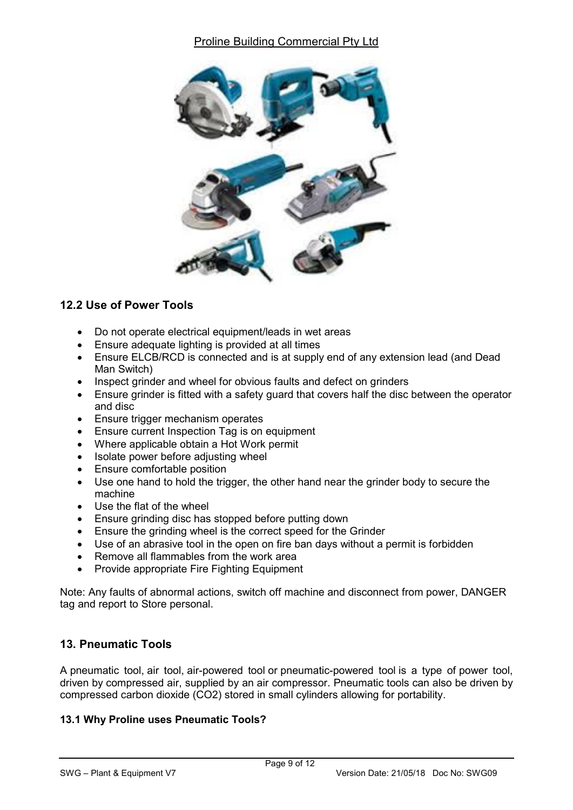# Proline Building Commercial Pty Ltd



## 12.2 Use of Power Tools

- Do not operate electrical equipment/leads in wet areas
- Ensure adequate lighting is provided at all times
- Ensure ELCB/RCD is connected and is at supply end of any extension lead (and Dead Man Switch)
- Inspect grinder and wheel for obvious faults and defect on grinders
- Ensure grinder is fitted with a safety guard that covers half the disc between the operator and disc
- Ensure trigger mechanism operates
- Ensure current Inspection Tag is on equipment
- Where applicable obtain a Hot Work permit
- Isolate power before adjusting wheel
- Ensure comfortable position
- Use one hand to hold the trigger, the other hand near the grinder body to secure the machine
- Use the flat of the wheel
- Ensure grinding disc has stopped before putting down
- Ensure the grinding wheel is the correct speed for the Grinder
- Use of an abrasive tool in the open on fire ban days without a permit is forbidden
- Remove all flammables from the work area
- Provide appropriate Fire Fighting Equipment

Note: Any faults of abnormal actions, switch off machine and disconnect from power, DANGER tag and report to Store personal.

# 13. Pneumatic Tools

A pneumatic tool, air tool, air-powered tool or pneumatic-powered tool is a type of power tool, driven by compressed air, supplied by an air compressor. Pneumatic tools can also be driven by compressed carbon dioxide (CO2) stored in small cylinders allowing for portability.

## 13.1 Why Proline uses Pneumatic Tools?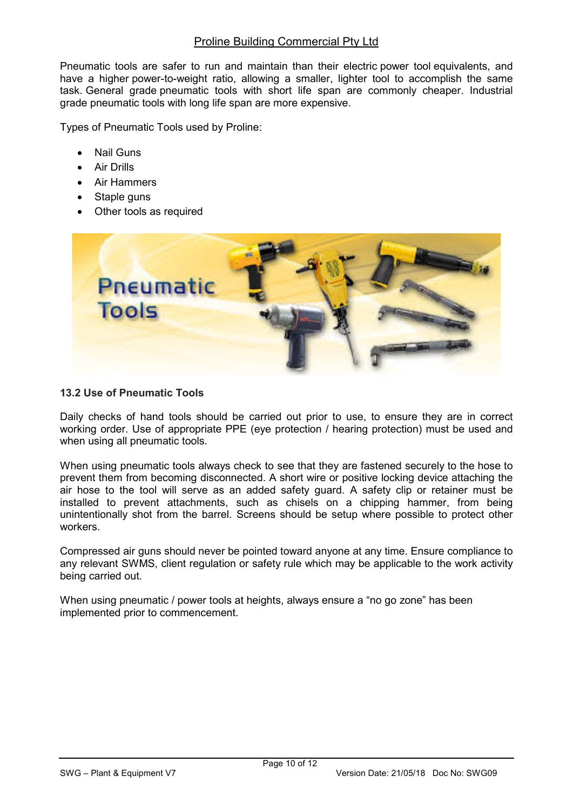#### Proline Building Commercial Pty Ltd

Pneumatic tools are safer to run and maintain than their electric power tool equivalents, and have a higher power-to-weight ratio, allowing a smaller, lighter tool to accomplish the same task. General grade pneumatic tools with short life span are commonly cheaper. Industrial grade pneumatic tools with long life span are more expensive.

Types of Pneumatic Tools used by Proline:

- Nail Guns
- Air Drills
- Air Hammers
- Staple guns
- Other tools as required



#### 13.2 Use of Pneumatic Tools

Daily checks of hand tools should be carried out prior to use, to ensure they are in correct working order. Use of appropriate PPE (eye protection / hearing protection) must be used and when using all pneumatic tools.

When using pneumatic tools always check to see that they are fastened securely to the hose to prevent them from becoming disconnected. A short wire or positive locking device attaching the air hose to the tool will serve as an added safety guard. A safety clip or retainer must be installed to prevent attachments, such as chisels on a chipping hammer, from being unintentionally shot from the barrel. Screens should be setup where possible to protect other workers.

Compressed air guns should never be pointed toward anyone at any time. Ensure compliance to any relevant SWMS, client regulation or safety rule which may be applicable to the work activity being carried out.

When using pneumatic / power tools at heights, always ensure a "no go zone" has been implemented prior to commencement.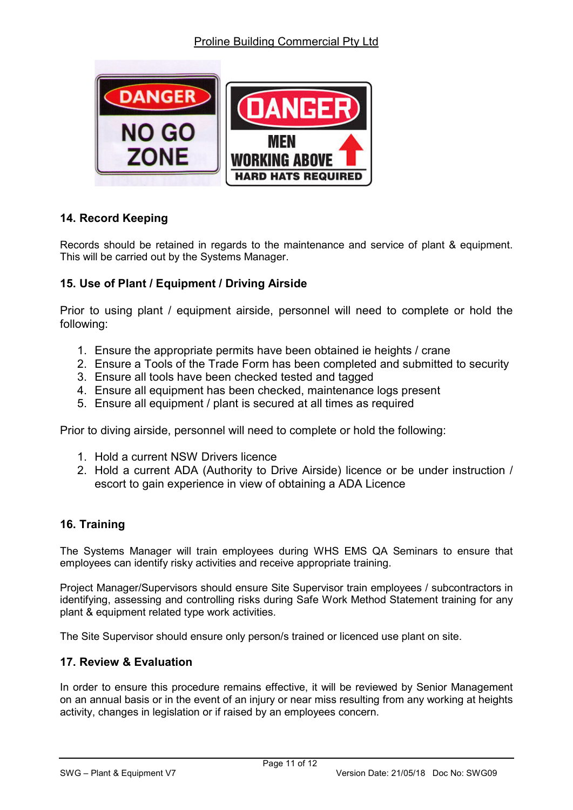

# 14. Record Keeping

Records should be retained in regards to the maintenance and service of plant & equipment. This will be carried out by the Systems Manager.

# 15. Use of Plant / Equipment / Driving Airside

Prior to using plant / equipment airside, personnel will need to complete or hold the following:

- 1. Ensure the appropriate permits have been obtained ie heights / crane
- 2. Ensure a Tools of the Trade Form has been completed and submitted to security
- 3. Ensure all tools have been checked tested and tagged
- 4. Ensure all equipment has been checked, maintenance logs present
- 5. Ensure all equipment / plant is secured at all times as required

Prior to diving airside, personnel will need to complete or hold the following:

- 1. Hold a current NSW Drivers licence
- 2. Hold a current ADA (Authority to Drive Airside) licence or be under instruction / escort to gain experience in view of obtaining a ADA Licence

## 16. Training

The Systems Manager will train employees during WHS EMS QA Seminars to ensure that employees can identify risky activities and receive appropriate training.

Project Manager/Supervisors should ensure Site Supervisor train employees / subcontractors in identifying, assessing and controlling risks during Safe Work Method Statement training for any plant & equipment related type work activities.

The Site Supervisor should ensure only person/s trained or licenced use plant on site.

## 17. Review & Evaluation

In order to ensure this procedure remains effective, it will be reviewed by Senior Management on an annual basis or in the event of an injury or near miss resulting from any working at heights activity, changes in legislation or if raised by an employees concern.